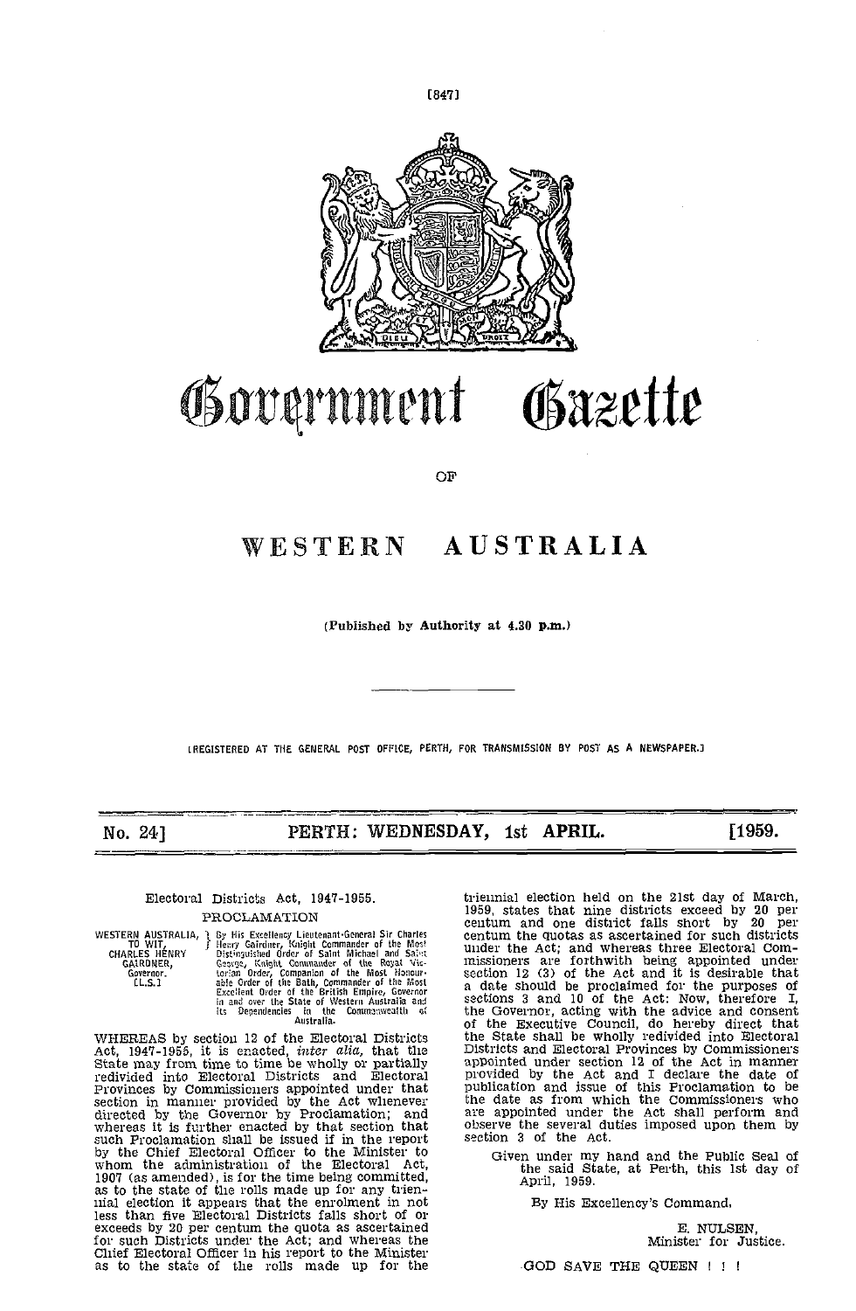

 $[847]$ 

# Gazette Government

OF

# WESTERN AUSTRALIA

(Published by Authority at 4.30 p.m.)

LREGISTERED AT THE GENERAL POST OFFICE, PERTH, FOR TRANSMISSION BY POST AS A NEWSPAPER.J

No. 24]

PERTH: WEDNESDAY, 1st APRIL.

[1959.

## Electoral Districts Act, 1947-1955.

PROCLAMATION

WESTERN AUSTRALIA, By His Excellency Lieutenant-General Sir Charles<br>
TO WIT, By His Excellency Lieutenant-General Sir Charles<br>
CHARLES HENRY Distinguished Order of the Rost Michael and Sales<br>
CARLEDRIER, George, Knight Com

Australia.<br>
MHEREAS by section 12 of the Electoral Districts<br>
Act, 1947-1955, it is enacted, *inter alia*, that the<br>
State may from time to time be wholly or partially<br>
redivided into Electoral Districts and Electoral<br>
Pro as to the state of the rolls made up for any trienmial election it appears that the enrolment in not<br>less than five Electoral Districts falls short of or exceeds by 20 per centum the quota as assertained<br>for such Districts under the Act; and whereas the Chief Electoral Officer in his report to the Minister as to the state of the rolls made up for the

triennial election held on the 21st day of March, 1959, states that nine districts exceed by 20 per centum and one district falls short by 20 per centum the quotas as ascertained for such districts centum the quotas as ascertained for such districts<br>under the Act; and whereas three Electoral Com-<br>missioners are forthwith being appointed under<br>section 12 (3) of the Act and it is desirable that<br>a date should be proclai Districts and Electoral Provinces by Commissioners<br>appointed under section 12 of the Act in mammer<br>provided by the Act and I declare the date of<br>publication and issue of this Proclamation to be<br>the date as from which the C section 3 of the Act.

Given under my hand and the Public Seal of<br>the said State, at Perth, this 1st day of April, 1959.

By His Excellency's Command,

E. NULSEN, Minister for Justice.

GOD SAVE THE QUEEN ! ! !